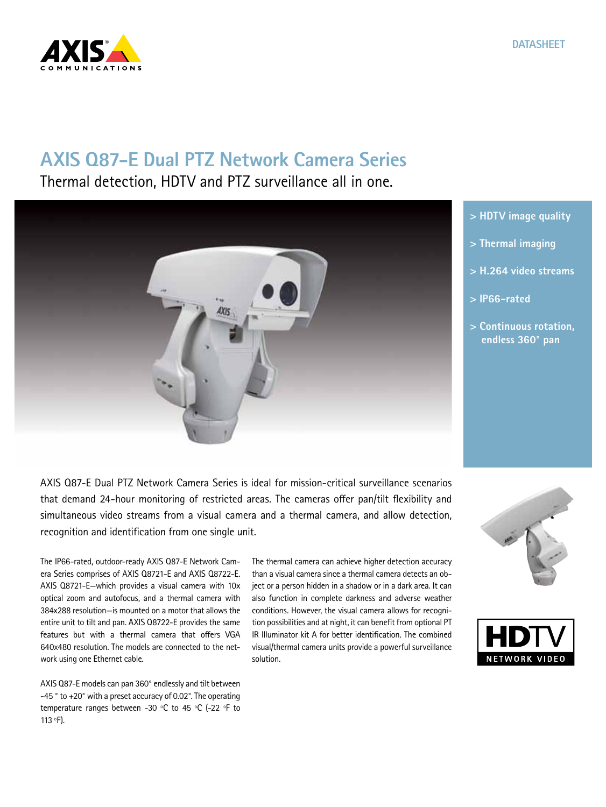

## **AXIS Q87-E Dual PTZ Network Camera Series**

Thermal detection, HDTV and PTZ surveillance all in one.



**> HDTV image quality**

- **> Thermal imaging**
- **> H.264 video streams**
- **> IP66-rated**
- **> Continuous rotation, endless 360° pan**

AXIS Q87-E Dual PTZ Network Camera Series is ideal for mission-critical surveillance scenarios that demand 24-hour monitoring of restricted areas. The cameras offer pan/tilt flexibility and simultaneous video streams from a visual camera and a thermal camera, and allow detection, recognition and identification from one single unit.

The IP66-rated, outdoor-ready AXIS Q87-E Network Camera Series comprises of AXIS Q8721-E and AXIS Q8722-E. AXIS Q8721-E—which provides a visual camera with 10x optical zoom and autofocus, and a thermal camera with 384x288 resolution—is mounted on a motor that allows the entire unit to tilt and pan. AXIS Q8722-E provides the same features but with a thermal camera that offers VGA 640x480 resolution. The models are connected to the network using one Ethernet cable.

AXIS Q87-E models can pan 360° endlessly and tilt between -45 ° to +20° with a preset accuracy of 0.02°. The operating temperature ranges between -30 ºC to 45 ºC (-22 ºF to 113 ºF).

The thermal camera can achieve higher detection accuracy than a visual camera since a thermal camera detects an object or a person hidden in a shadow or in a dark area. It can also function in complete darkness and adverse weather conditions. However, the visual camera allows for recognition possibilities and at night, it can benefit from optional PT IR Illuminator kit A for better identification. The combined visual/thermal camera units provide a powerful surveillance solution.



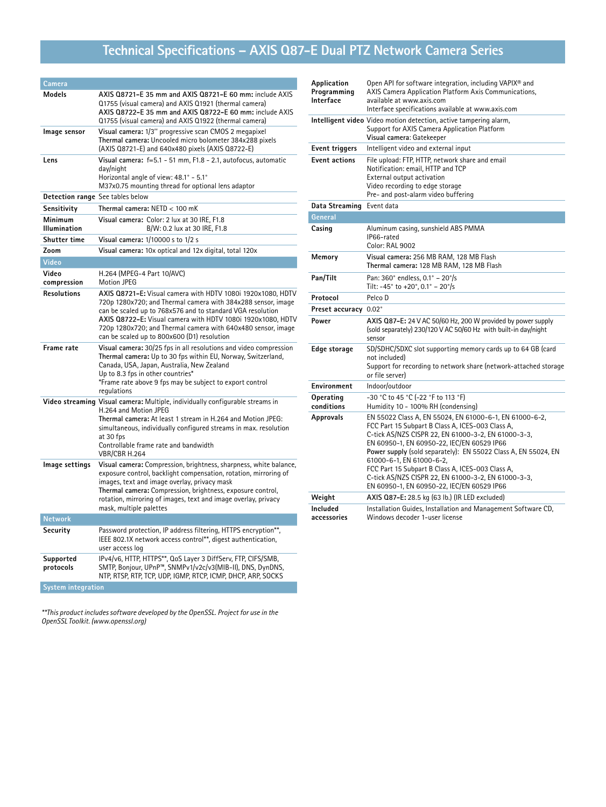# **Technical Specifications – AXIS Q87-E Dual PTZ Network Camera Series**

| Camera                                  |                                                                                                                                                                                                                                                                                                                                                                         |
|-----------------------------------------|-------------------------------------------------------------------------------------------------------------------------------------------------------------------------------------------------------------------------------------------------------------------------------------------------------------------------------------------------------------------------|
| Models                                  | AXIS Q8721-E 35 mm and AXIS Q8721-E 60 mm: include AXIS<br>Q1755 (visual camera) and AXIS Q1921 (thermal camera)<br>AXIS Q8722-E 35 mm and AXIS Q8722-E 60 mm: include AXIS<br>Q1755 (visual camera) and AXIS Q1922 (thermal camera)                                                                                                                                    |
| Image sensor                            | Visual camera: 1/3" progressive scan CMOS 2 megapixel<br>Thermal camera: Uncooled micro bolometer 384x288 pixels<br>(AXIS Q8721-E) and 640x480 pixels (AXIS Q8722-E)                                                                                                                                                                                                    |
| Lens                                    | Visual camera: f=5.1 - 51 mm, F1.8 - 2.1, autofocus, automatic<br>day/night<br>Horizontal angle of view: 48.1° - 5.1°<br>M37x0.75 mounting thread for optional lens adaptor                                                                                                                                                                                             |
| <b>Detection range</b> See tables below |                                                                                                                                                                                                                                                                                                                                                                         |
| Sensitivity                             | Thermal camera: NETD < 100 mK                                                                                                                                                                                                                                                                                                                                           |
| Minimum<br>Illumination                 | Visual camera: Color: 2 lux at 30 IRE, F1.8<br>B/W: 0.2 lux at 30 IRE, F1.8                                                                                                                                                                                                                                                                                             |
| <b>Shutter time</b>                     | Visual camera: 1/10000 s to 1/2 s                                                                                                                                                                                                                                                                                                                                       |
| Zoom                                    | Visual camera: 10x optical and 12x digital, total 120x                                                                                                                                                                                                                                                                                                                  |
| <b>Video</b>                            |                                                                                                                                                                                                                                                                                                                                                                         |
| Video<br>compression                    | H.264 (MPEG-4 Part 10/AVC)<br><b>Motion JPEG</b>                                                                                                                                                                                                                                                                                                                        |
| <b>Resolutions</b>                      | AXIS Q8721-E: Visual camera with HDTV 1080i 1920x1080, HDTV<br>720p 1280x720; and Thermal camera with 384x288 sensor, image<br>can be scaled up to 768x576 and to standard VGA resolution<br>AXIS Q8722-E: Visual camera with HDTV 1080i 1920x1080, HDTV<br>720p 1280x720; and Thermal camera with 640x480 sensor, image<br>can be scaled up to 800x600 (D1) resolution |
| Frame rate                              | Visual camera: 30/25 fps in all resolutions and video compression<br>Thermal camera: Up to 30 fps within EU, Norway, Switzerland,<br>Canada, USA, Japan, Australia, New Zealand<br>Up to 8.3 fps in other countries*<br>*Frame rate above 9 fps may be subject to export control<br>regulations                                                                         |
|                                         | Video streaming Visual camera: Multiple, individually configurable streams in<br>H.264 and Motion JPEG<br>Thermal camera: At least 1 stream in H.264 and Motion JPEG:<br>simultaneous, individually configured streams in max. resolution<br>at 30 fps<br>Controllable frame rate and bandwidth<br>VBR/CBR H.264                                                        |
| Image settings                          | Visual camera: Compression, brightness, sharpness, white balance,<br>exposure control, backlight compensation, rotation, mirroring of<br>images, text and image overlay, privacy mask<br>Thermal camera: Compression, brightness, exposure control,<br>rotation, mirroring of images, text and image overlay, privacy<br>mask, multiple palettes                        |
| <b>Network</b>                          |                                                                                                                                                                                                                                                                                                                                                                         |
| Security                                | Password protection, IP address filtering, HTTPS encryption**,<br>IEEE 802.1X network access control**, digest authentication,<br>user access log                                                                                                                                                                                                                       |
| Supported<br>protocols                  | IPv4/v6, HTTP, HTTPS**, QoS Layer 3 DiffServ, FTP, CIFS/SMB,<br>SMTP, Bonjour, UPnP™, SNMPv1/v2c/v3(MIB-II), DNS, DynDNS,<br>NTP, RTSP, RTP, TCP, UDP, IGMP, RTCP, ICMP, DHCP, ARP, SOCKS                                                                                                                                                                               |
| <b>System integration</b>               |                                                                                                                                                                                                                                                                                                                                                                         |

*\*\*This product includes software developed by the OpenSSL. Project for use in the OpenSSL Toolkit. (www.openssl.org)*

| Application<br>Programming<br>Interface | Open API for software integration, including VAPIX® and<br>AXIS Camera Application Platform Axis Communications,<br>available at www.axis.com<br>Interface specifications available at www.axis.com                                                                                                                                                                                                                                                                     |  |  |  |
|-----------------------------------------|-------------------------------------------------------------------------------------------------------------------------------------------------------------------------------------------------------------------------------------------------------------------------------------------------------------------------------------------------------------------------------------------------------------------------------------------------------------------------|--|--|--|
|                                         | Intelligent video Video motion detection, active tampering alarm,<br>Support for AXIS Camera Application Platform<br>Visual camera: Gatekeeper                                                                                                                                                                                                                                                                                                                          |  |  |  |
| <b>Event triggers</b>                   | Intelligent video and external input                                                                                                                                                                                                                                                                                                                                                                                                                                    |  |  |  |
| <b>Event actions</b>                    | File upload: FTP, HTTP, network share and email<br>Notification: email, HTTP and TCP<br>External output activation<br>Video recording to edge storage<br>Pre- and post-alarm video buffering                                                                                                                                                                                                                                                                            |  |  |  |
| Data Streaming                          | Event data                                                                                                                                                                                                                                                                                                                                                                                                                                                              |  |  |  |
| General                                 |                                                                                                                                                                                                                                                                                                                                                                                                                                                                         |  |  |  |
| Casing                                  | Aluminum casing, sunshield ABS PMMA<br>IP66-rated<br><b>Color: RAL 9002</b>                                                                                                                                                                                                                                                                                                                                                                                             |  |  |  |
| Memory                                  | Visual camera: 256 MB RAM, 128 MB Flash<br>Thermal camera: 128 MB RAM, 128 MB Flash                                                                                                                                                                                                                                                                                                                                                                                     |  |  |  |
| Pan/Tilt                                | Pan: 360° endless, $0.1^{\circ}$ – 20°/s<br>Tilt: -45° to +20°, 0.1° - 20°/s                                                                                                                                                                                                                                                                                                                                                                                            |  |  |  |
| Protocol                                | Pelco D                                                                                                                                                                                                                                                                                                                                                                                                                                                                 |  |  |  |
| Preset accuracy 0.02°                   |                                                                                                                                                                                                                                                                                                                                                                                                                                                                         |  |  |  |
| Power                                   | AXIS Q87-E: 24 V AC 50/60 Hz, 200 W provided by power supply<br>(sold separately) 230/120 V AC 50/60 Hz with built-in day/night<br>sensor                                                                                                                                                                                                                                                                                                                               |  |  |  |
| Edge storage                            | SD/SDHC/SDXC slot supporting memory cards up to 64 GB (card<br>not included)<br>Support for recording to network share (network-attached storage<br>or file server)                                                                                                                                                                                                                                                                                                     |  |  |  |
| Environment                             | Indoor/outdoor                                                                                                                                                                                                                                                                                                                                                                                                                                                          |  |  |  |
| Operating<br>conditions                 | -30 °C to 45 °C (-22 °F to 113 °F)<br>Humidity 10 - 100% RH (condensing)                                                                                                                                                                                                                                                                                                                                                                                                |  |  |  |
| <b>Approvals</b>                        | EN 55022 Class A, EN 55024, EN 61000-6-1, EN 61000-6-2,<br>FCC Part 15 Subpart B Class A, ICES-003 Class A,<br>C-tick AS/NZS CISPR 22, EN 61000-3-2, EN 61000-3-3,<br>EN 60950-1, EN 60950-22, IEC/EN 60529 IP66<br>Power supply (sold separately): EN 55022 Class A, EN 55024, EN<br>61000-6-1, EN 61000-6-2,<br>FCC Part 15 Subpart B Class A, ICES-003 Class A,<br>C-tick AS/NZS CISPR 22, EN 61000-3-2, EN 61000-3-3,<br>EN 60950-1, EN 60950-22, IEC/EN 60529 IP66 |  |  |  |
| Weight                                  | AXIS Q87-E: 28.5 kg (63 lb.) (IR LED excluded)                                                                                                                                                                                                                                                                                                                                                                                                                          |  |  |  |
| Included<br>accessories                 | Installation Guides, Installation and Management Software CD,<br>Windows decoder 1-user license                                                                                                                                                                                                                                                                                                                                                                         |  |  |  |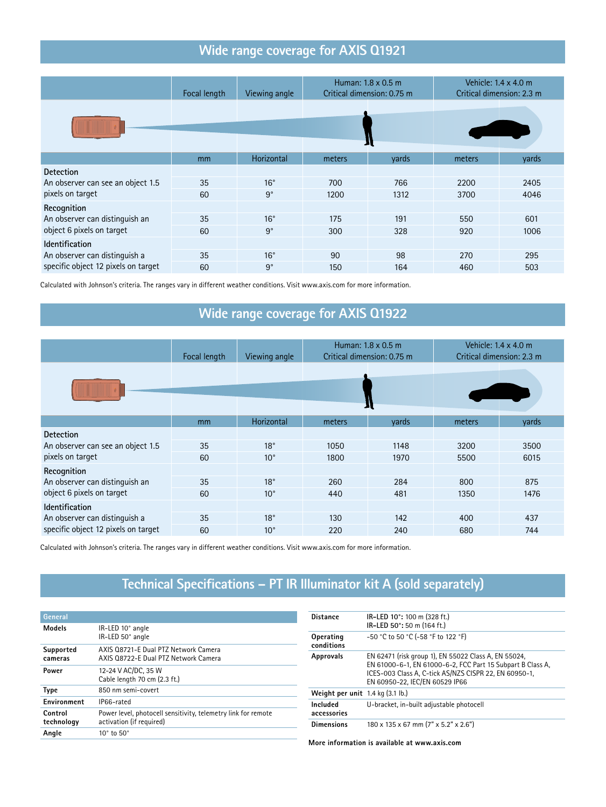#### **Wide range coverage for AXIS Q1921**

|                                     | Focal length | Viewing angle |        | Human: $1.8 \times 0.5$ m<br>Critical dimension: 0.75 m |        | Vehicle: $1.4 \times 4.0$ m<br>Critical dimension: 2.3 m |
|-------------------------------------|--------------|---------------|--------|---------------------------------------------------------|--------|----------------------------------------------------------|
|                                     |              |               |        |                                                         |        |                                                          |
|                                     | mm           | Horizontal    | meters | л<br>yards                                              | meters | yards                                                    |
| <b>Detection</b>                    |              |               |        |                                                         |        |                                                          |
| An observer can see an object 1.5   | 35           | $16^{\circ}$  | 700    | 766                                                     | 2200   | 2405                                                     |
| pixels on target                    | 60           | $9^{\circ}$   | 1200   | 1312                                                    | 3700   | 4046                                                     |
| Recognition                         |              |               |        |                                                         |        |                                                          |
| An observer can distinguish an      | 35           | $16^{\circ}$  | 175    | 191                                                     | 550    | 601                                                      |
| object 6 pixels on target           | 60           | $9^{\circ}$   | 300    | 328                                                     | 920    | 1006                                                     |
| <b>Identification</b>               |              |               |        |                                                         |        |                                                          |
| An observer can distinguish a       | 35           | $16^{\circ}$  | 90     | 98                                                      | 270    | 295                                                      |
| specific object 12 pixels on target | 60           | $9^{\circ}$   | 150    | 164                                                     | 460    | 503                                                      |

Calculated with Johnson's criteria. The ranges vary in different weather conditions. Visit www.axis.com for more information.

### **Wide range coverage for AXIS Q1922**

|                                     | Focal length   | Viewing angle | Human: $1.8 \times 0.5$ m<br>Critical dimension: 0.75 m |       | Vehicle: $1.4 \times 4.0$ m<br>Critical dimension: 2.3 m |       |
|-------------------------------------|----------------|---------------|---------------------------------------------------------|-------|----------------------------------------------------------|-------|
|                                     |                |               |                                                         | л     |                                                          |       |
|                                     | m <sub>m</sub> | Horizontal    | meters                                                  | vards | meters                                                   | yards |
| <b>Detection</b>                    |                |               |                                                         |       |                                                          |       |
| An observer can see an object 1.5   | 35             | $18^\circ$    | 1050                                                    | 1148  | 3200                                                     | 3500  |
| pixels on target                    | 60             | $10^{\circ}$  | 1800                                                    | 1970  | 5500                                                     | 6015  |
| Recognition                         |                |               |                                                         |       |                                                          |       |
| An observer can distinguish an      | 35             | $18^\circ$    | 260                                                     | 284   | 800                                                      | 875   |
| object 6 pixels on target           | 60             | $10^{\circ}$  | 440                                                     | 481   | 1350                                                     | 1476  |
| <b>Identification</b>               |                |               |                                                         |       |                                                          |       |
| An observer can distinguish a       | 35             | $18^{\circ}$  | 130                                                     | 142   | 400                                                      | 437   |
| specific object 12 pixels on target | 60             | $10^{\circ}$  | 220                                                     | 240   | 680                                                      | 744   |

Calculated with Johnson's criteria. The ranges vary in different weather conditions. Visit www.axis.com for more information.

#### **Technical Specifications – PT IR Illuminator kit A (sold separately)**

| General               |                                                                                           |
|-----------------------|-------------------------------------------------------------------------------------------|
| <b>Models</b>         | IR-LED 10° angle<br>IR-LED 50° angle                                                      |
| Supported<br>cameras  | AXIS 08721-E Dual PTZ Network Camera<br>AXIS 08722-E Dual PTZ Network Camera              |
| Power                 | 12-24 V AC/DC, 35 W<br>Cable length 70 cm (2.3 ft.)                                       |
| <b>Type</b>           | 850 nm semi-covert                                                                        |
| Environment           | IP66-rated                                                                                |
| Control<br>technology | Power level, photocell sensitivity, telemetry link for remote<br>activation (if required) |
| Angle                 | $10^{\circ}$ to $50^{\circ}$                                                              |

| <b>Distance</b>                    | IR-LED 10°: 100 m (328 ft.)<br>IR-LED 50°: 50 m (164 ft.)                                                                                                                                                     |
|------------------------------------|---------------------------------------------------------------------------------------------------------------------------------------------------------------------------------------------------------------|
| Operating<br>conditions            | -50 °C to 50 °C (-58 °F to 122 °F)                                                                                                                                                                            |
| <b>Approvals</b>                   | EN 62471 (risk group 1), EN 55022 Class A, EN 55024,<br>EN 61000-6-1, EN 61000-6-2, FCC Part 15 Subpart B Class A,<br>ICES-003 Class A, C-tick AS/NZS CISPR 22, EN 60950-1,<br>EN 60950-22, IEC/EN 60529 IP66 |
| Weight per unit $1.4$ kg (3.1 lb.) |                                                                                                                                                                                                               |
| Included<br>accessories            | U-bracket, in-built adjustable photocell                                                                                                                                                                      |
| <b>Dimensions</b>                  | $180 \times 135 \times 67$ mm $(7" \times 5.2" \times 2.6")$                                                                                                                                                  |

**More information is available at www.axis.com**